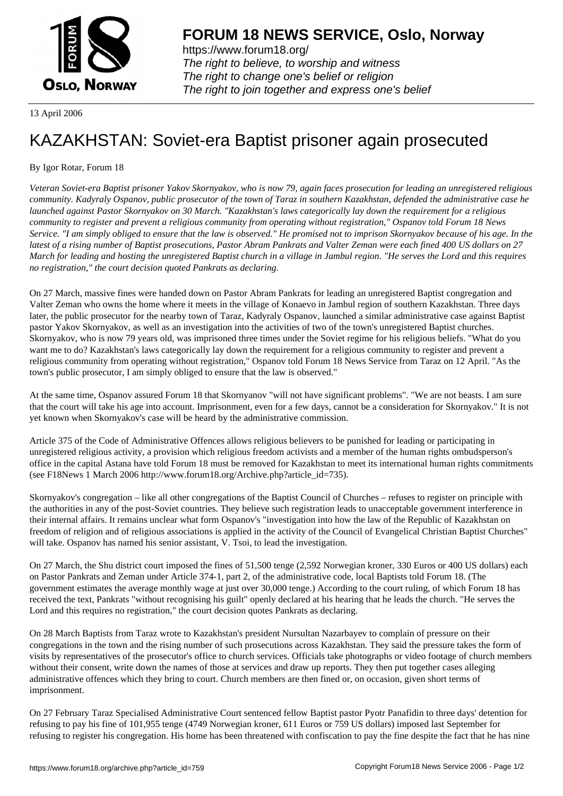

https://www.forum18.org/ The right to believe, to worship and witness The right to change one's belief or religion [The right to join together a](https://www.forum18.org/)nd express one's belief

13 April 2006

## [KAZAKHSTAN:](https://www.forum18.org) Soviet-era Baptist prisoner again prosecuted

By Igor Rotar, Forum 18

*Veteran Soviet-era Baptist prisoner Yakov Skornyakov, who is now 79, again faces prosecution for leading an unregistered religious community. Kadyraly Ospanov, public prosecutor of the town of Taraz in southern Kazakhstan, defended the administrative case he launched against Pastor Skornyakov on 30 March. "Kazakhstan's laws categorically lay down the requirement for a religious community to register and prevent a religious community from operating without registration," Ospanov told Forum 18 News Service. "I am simply obliged to ensure that the law is observed." He promised not to imprison Skornyakov because of his age. In the latest of a rising number of Baptist prosecutions, Pastor Abram Pankrats and Valter Zeman were each fined 400 US dollars on 27 March for leading and hosting the unregistered Baptist church in a village in Jambul region. "He serves the Lord and this requires no registration," the court decision quoted Pankrats as declaring.*

On 27 March, massive fines were handed down on Pastor Abram Pankrats for leading an unregistered Baptist congregation and Valter Zeman who owns the home where it meets in the village of Konaevo in Jambul region of southern Kazakhstan. Three days later, the public prosecutor for the nearby town of Taraz, Kadyraly Ospanov, launched a similar administrative case against Baptist pastor Yakov Skornyakov, as well as an investigation into the activities of two of the town's unregistered Baptist churches. Skornyakov, who is now 79 years old, was imprisoned three times under the Soviet regime for his religious beliefs. "What do you want me to do? Kazakhstan's laws categorically lay down the requirement for a religious community to register and prevent a religious community from operating without registration," Ospanov told Forum 18 News Service from Taraz on 12 April. "As the town's public prosecutor, I am simply obliged to ensure that the law is observed."

At the same time, Ospanov assured Forum 18 that Skornyanov "will not have significant problems". "We are not beasts. I am sure that the court will take his age into account. Imprisonment, even for a few days, cannot be a consideration for Skornyakov." It is not yet known when Skornyakov's case will be heard by the administrative commission.

Article 375 of the Code of Administrative Offences allows religious believers to be punished for leading or participating in unregistered religious activity, a provision which religious freedom activists and a member of the human rights ombudsperson's office in the capital Astana have told Forum 18 must be removed for Kazakhstan to meet its international human rights commitments (see F18News 1 March 2006 http://www.forum18.org/Archive.php?article\_id=735).

Skornyakov's congregation – like all other congregations of the Baptist Council of Churches – refuses to register on principle with the authorities in any of the post-Soviet countries. They believe such registration leads to unacceptable government interference in their internal affairs. It remains unclear what form Ospanov's "investigation into how the law of the Republic of Kazakhstan on freedom of religion and of religious associations is applied in the activity of the Council of Evangelical Christian Baptist Churches" will take. Ospanov has named his senior assistant, V. Tsoi, to lead the investigation.

On 27 March, the Shu district court imposed the fines of 51,500 tenge (2,592 Norwegian kroner, 330 Euros or 400 US dollars) each on Pastor Pankrats and Zeman under Article 374-1, part 2, of the administrative code, local Baptists told Forum 18. (The government estimates the average monthly wage at just over 30,000 tenge.) According to the court ruling, of which Forum 18 has received the text, Pankrats "without recognising his guilt" openly declared at his hearing that he leads the church. "He serves the Lord and this requires no registration," the court decision quotes Pankrats as declaring.

On 28 March Baptists from Taraz wrote to Kazakhstan's president Nursultan Nazarbayev to complain of pressure on their congregations in the town and the rising number of such prosecutions across Kazakhstan. They said the pressure takes the form of visits by representatives of the prosecutor's office to church services. Officials take photographs or video footage of church members without their consent, write down the names of those at services and draw up reports. They then put together cases alleging administrative offences which they bring to court. Church members are then fined or, on occasion, given short terms of imprisonment.

On 27 February Taraz Specialised Administrative Court sentenced fellow Baptist pastor Pyotr Panafidin to three days' detention for refusing to pay his fine of 101,955 tenge (4749 Norwegian kroner, 611 Euros or 759 US dollars) imposed last September for refusing to register his congregation. His home has been threatened with confiscation to pay the fine despite the fact that he has nine